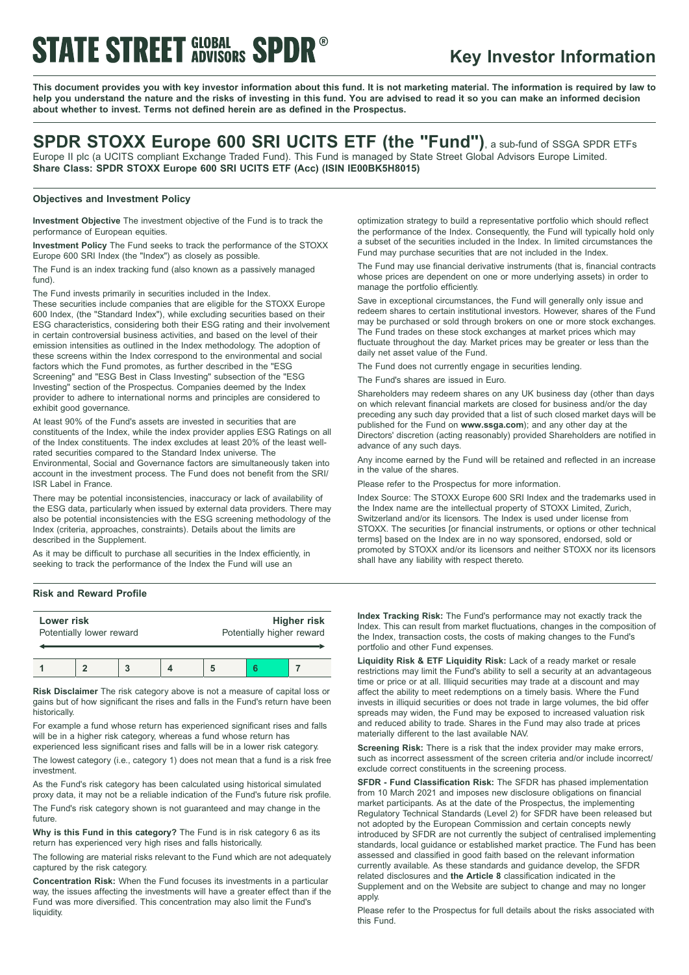# **STATE STREET GLOBAL SPDR®**

### **Key Investor Information**

This document provides you with key investor information about this fund. It is not marketing material. The information is required by law to help you understand the nature and the risks of investing in this fund. You are advised to read it so you can make an informed decision **about whether to invest. Terms not defined herein are as defined in the Prospectus.**

### **SPDR STOXX Europe 600 SRI UCITS ETF (the "Fund")**, <sup>a</sup> sub-fund of SSGA SPDR ETFs Europe II plc (a UCITS compliant Exchange Traded Fund). This Fund is managed by State Street Global Advisors Europe Limited.

**Share Class: SPDR STOXX Europe 600 SRI UCITS ETF (Acc) (ISIN IE00BK5H8015)**

### **Objectives and Investment Policy**

**Investment Objective** The investment objective of the Fund is to track the performance of European equities.

**Investment Policy** The Fund seeks to track the performance of the STOXX Europe 600 SRI Index (the "Index") as closely as possible.

The Fund is an index tracking fund (also known as a passively managed fund).

The Fund invests primarily in securities included in the Index.

These securities include companies that are eligible for the STOXX Europe 600 Index, (the "Standard Index"), while excluding securities based on their ESG characteristics, considering both their ESG rating and their involvement in certain controversial business activities, and based on the level of their emission intensities as outlined in the Index methodology. The adoption of these screens within the Index correspond to the environmental and social factors which the Fund promotes, as further described in the "ESG Screening" and "ESG Best in Class Investing" subsection of the "ESG Investing" section of the Prospectus. Companies deemed by the Index provider to adhere to international norms and principles are considered to exhibit good governance.

At least 90% of the Fund's assets are invested in securities that are constituents of the Index, while the index provider applies ESG Ratings on all of the Index constituents. The index excludes at least 20% of the least wellrated securities compared to the Standard Index universe. The Environmental, Social and Governance factors are simultaneously taken into account in the investment process. The Fund does not benefit from the SRI/ ISR Label in France.

There may be potential inconsistencies, inaccuracy or lack of availability of the ESG data, particularly when issued by external data providers. There may also be potential inconsistencies with the ESG screening methodology of the Index (criteria, approaches, constraints). Details about the limits are described in the Supplement.

As it may be difficult to purchase all securities in the Index efficiently, in seeking to track the performance of the Index the Fund will use an

### **Risk and Reward Profile**

| Lower risk<br>Potentially lower reward |  |  | <b>Higher risk</b><br>Potentially higher reward |  |  |
|----------------------------------------|--|--|-------------------------------------------------|--|--|
|                                        |  |  |                                                 |  |  |

**Risk Disclaimer** The risk category above is not a measure of capital loss or gains but of how significant the rises and falls in the Fund's return have been historically.

For example a fund whose return has experienced significant rises and falls will be in a higher risk category, whereas a fund whose return has experienced less significant rises and falls will be in a lower risk category.

The lowest category (i.e., category 1) does not mean that a fund is a risk free investment.

As the Fund's risk category has been calculated using historical simulated proxy data, it may not be a reliable indication of the Fund's future risk profile.

The Fund's risk category shown is not guaranteed and may change in the future

**Why is this Fund in this category?** The Fund is in risk category 6 as its return has experienced very high rises and falls historically.

The following are material risks relevant to the Fund which are not adequately captured by the risk category.

**Concentration Risk:** When the Fund focuses its investments in a particular way, the issues affecting the investments will have a greater effect than if the Fund was more diversified. This concentration may also limit the Fund's liquidity.

optimization strategy to build a representative portfolio which should reflect the performance of the Index. Consequently, the Fund will typically hold only a subset of the securities included in the Index. In limited circumstances the Fund may purchase securities that are not included in the Index.

The Fund may use financial derivative instruments (that is, financial contracts whose prices are dependent on one or more underlying assets) in order to manage the portfolio efficiently.

Save in exceptional circumstances, the Fund will generally only issue and redeem shares to certain institutional investors. However, shares of the Fund may be purchased or sold through brokers on one or more stock exchanges. The Fund trades on these stock exchanges at market prices which may fluctuate throughout the day. Market prices may be greater or less than the daily net asset value of the Fund.

The Fund does not currently engage in securities lending.

The Fund's shares are issued in Euro.

Shareholders may redeem shares on any UK business day (other than days on which relevant financial markets are closed for business and/or the day preceding any such day provided that a list of such closed market days will be published for the Fund on **www.ssga.com**); and any other day at the Directors' discretion (acting reasonably) provided Shareholders are notified in advance of any such days.

Any income earned by the Fund will be retained and reflected in an increase in the value of the shares.

Please refer to the Prospectus for more information.

Index Source: The STOXX Europe 600 SRI Index and the trademarks used in the Index name are the intellectual property of STOXX Limited, Zurich, Switzerland and/or its licensors. The Index is used under license from STOXX. The securities [or financial instruments, or options or other technical terms] based on the Index are in no way sponsored, endorsed, sold or promoted by STOXX and/or its licensors and neither STOXX nor its licensors shall have any liability with respect thereto.

**Index Tracking Risk:** The Fund's performance may not exactly track the Index. This can result from market fluctuations, changes in the composition of the Index, transaction costs, the costs of making changes to the Fund's portfolio and other Fund expenses.

**Liquidity Risk & ETF Liquidity Risk:** Lack of a ready market or resale restrictions may limit the Fund's ability to sell a security at an advantageous time or price or at all. Illiquid securities may trade at a discount and may affect the ability to meet redemptions on a timely basis. Where the Fund invests in illiquid securities or does not trade in large volumes, the bid offer spreads may widen, the Fund may be exposed to increased valuation risk and reduced ability to trade. Shares in the Fund may also trade at prices materially different to the last available NAV.

**Screening Risk:** There is a risk that the index provider may make errors, such as incorrect assessment of the screen criteria and/or include incorrect/ exclude correct constituents in the screening process.

**SFDR - Fund Classification Risk:** The SFDR has phased implementation from 10 March 2021 and imposes new disclosure obligations on financial market participants. As at the date of the Prospectus, the implementing Regulatory Technical Standards (Level 2) for SFDR have been released but not adopted by the European Commission and certain concepts newly introduced by SFDR are not currently the subject of centralised implementing standards, local guidance or established market practice. The Fund has been assessed and classified in good faith based on the relevant information currently available. As these standards and guidance develop, the SFDR related disclosures and **the Article 8** classification indicated in the Supplement and on the Website are subject to change and may no longer apply.

Please refer to the Prospectus for full details about the risks associated with this Fund.